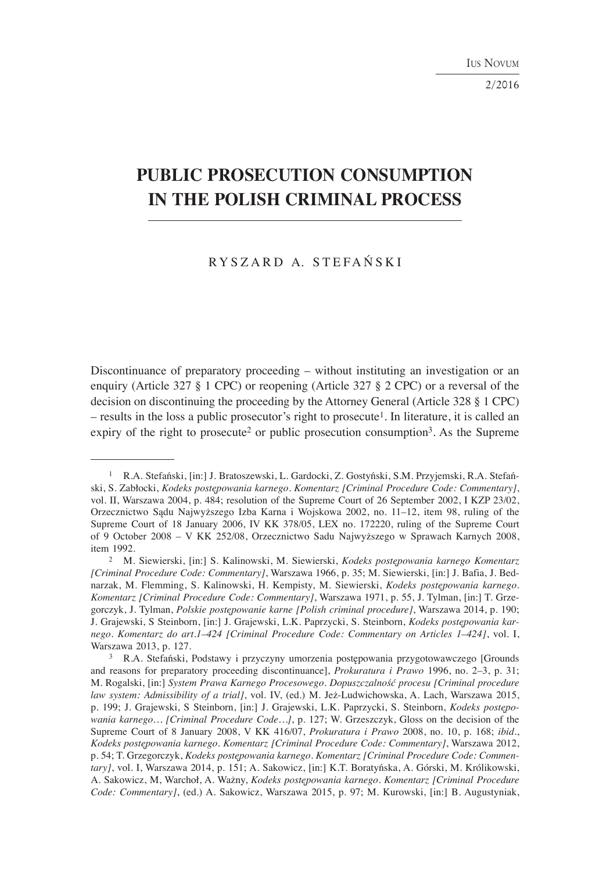2/2016

# **PUBLIC PROSECUTION CONSUMPTION IN THE POLISH CRIMINAL PROCESS**

## R Y S Z A R D A. S T E F A Ń S K I

Discontinuance of preparatory proceeding – without instituting an investigation or an enquiry (Article 327 § 1 CPC) or reopening (Article 327 § 2 CPC) or a reversal of the decision on discontinuing the proceeding by the Attorney General (Article 328 § 1 CPC)  $-$  results in the loss a public prosecutor's right to prosecute<sup>1</sup>. In literature, it is called an expiry of the right to prosecute<sup>2</sup> or public prosecution consumption<sup>3</sup>. As the Supreme

<sup>1</sup> R.A. Stefański, [in:] J. Bratoszewski, L. Gardocki, Z. Gostyński, S.M. Przyjemski, R.A. Stefański, S. Zabłocki, *Kodeks postępowania karnego. Komentarz [Criminal Procedure Code: Commentary]*, vol. II, Warszawa 2004, p. 484; resolution of the Supreme Court of 26 September 2002, I KZP 23/02, Orzecznictwo Sądu Najwyższego Izba Karna i Wojskowa 2002, no. 11–12, item 98, ruling of the Supreme Court of 18 January 2006, IV KK 378/05, LEX no. 172220, ruling of the Supreme Court of 9 October 2008 – V KK 252/08, Orzecznictwo Sadu Najwyższego w Sprawach Karnych 2008, item 1992.

<sup>2</sup> M. Siewierski, [in:] S. Kalinowski, M. Siewierski, *Kodeks postępowania karnego Komentarz [Criminal Procedure Code: Commentary]*, Warszawa 1966, p. 35; M. Siewierski, [in:] J. Bafia, J. Bednarzak, M. Flemming, S. Kalinowski, H. Kempisty, M. Siewierski, *Kodeks postępowania karnego. Komentarz [Criminal Procedure Code: Commentary]*, Warszawa 1971, p. 55, J. Tylman, [in:] T. Grzegorczyk, J. Tylman, *Polskie postępowanie karne [Polish criminal procedure]*, Warszawa 2014, p. 190; J. Grajewski, S Steinborn, [in:] J. Grajewski, L.K. Paprzycki, S. Steinborn, *Kodeks postępowania karnego. Komentarz do art.1–424 [Criminal Procedure Code: Commentary on Articles 1–424]*, vol. I, Warszawa 2013, p. 127.

<sup>3</sup> R.A. Stefański, Podstawy i przyczyny umorzenia postępowania przygotowawczego [Grounds and reasons for preparatory proceeding discontinuance], *Prokuratura i Prawo* 1996, no. 2–3, p. 31; M. Rogalski, [in:] *System Prawa Karnego Procesowego. Dopuszczalność procesu [Criminal procedure law system: Admissibility of a trial]*, vol. IV, (ed.) M. Jeż-Ludwichowska, A. Lach, Warszawa 2015, p. 199; J. Grajewski, S Steinborn, [in:] J. Grajewski, L.K. Paprzycki, S. Steinborn, *Kodeks postępowania karnego… [Criminal Procedure Code…]*, p. 127; W. Grzeszczyk, Gloss on the decision of the Supreme Court of 8 January 2008, V KK 416/07, *Prokuratura i Prawo* 2008, no. 10, p. 168; *ibid*., *Kodeks postępowania karnego. Komentarz [Criminal Procedure Code: Commentary]*, Warszawa 2012, p. 54; T. Grzegorczyk, *Kodeks postępowania karnego. Komentarz [Criminal Procedure Code: Commentary]*, vol. I, Warszawa 2014, p. 151; A. Sakowicz, [in:] K.T. Boratyńska, A. Górski, M. Królikowski, A. Sakowicz, M, Warchoł, A. Ważny, *Kodeks postępowania karnego. Komentarz [Criminal Procedure Code: Commentary]*, (ed.) A. Sakowicz, Warszawa 2015, p. 97; M. Kurowski, [in:] B. Augustyniak,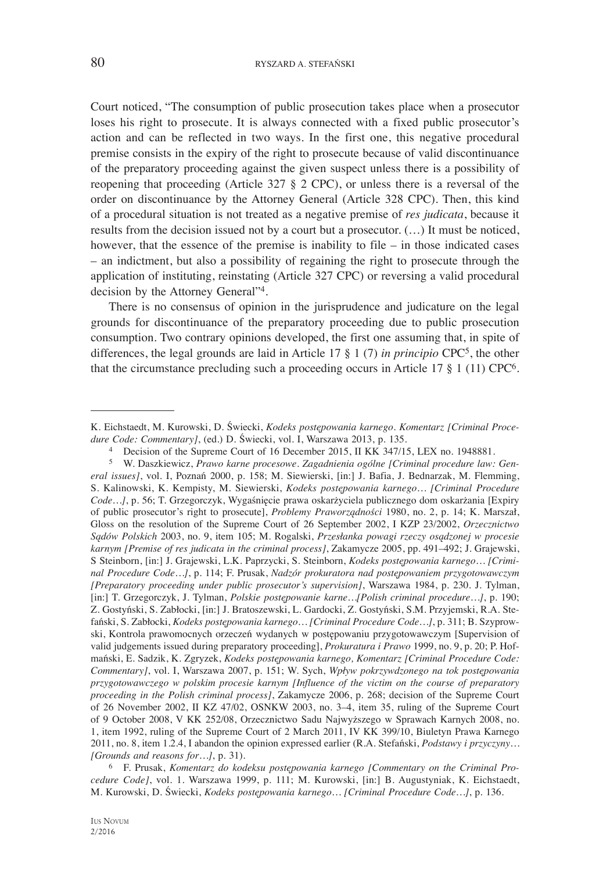Court noticed, "The consumption of public prosecution takes place when a prosecutor loses his right to prosecute. It is always connected with a fixed public prosecutor's action and can be reflected in two ways. In the first one, this negative procedural premise consists in the expiry of the right to prosecute because of valid discontinuance of the preparatory proceeding against the given suspect unless there is a possibility of reopening that proceeding (Article 327 § 2 CPC), or unless there is a reversal of the order on discontinuance by the Attorney General (Article 328 CPC). Then, this kind of a procedural situation is not treated as a negative premise of *res judicata*, because it results from the decision issued not by a court but a prosecutor. (…) It must be noticed, however, that the essence of the premise is inability to file – in those indicated cases – an indictment, but also a possibility of regaining the right to prosecute through the application of instituting, reinstating (Article 327 CPC) or reversing a valid procedural decision by the Attorney General"4.

There is no consensus of opinion in the jurisprudence and judicature on the legal grounds for discontinuance of the preparatory proceeding due to public prosecution consumption. Two contrary opinions developed, the first one assuming that, in spite of differences, the legal grounds are laid in Article 17 § 1 (7) *in principio* CPC5, the other that the circumstance precluding such a proceeding occurs in Article 17 § 1 (11) CPC6.

K. Eichstaedt, M. Kurowski, D. Świecki, *Kodeks postępowania karnego. Komentarz [Criminal Procedure Code: Commentary]*, (ed.) D. Świecki, vol. I, Warszawa 2013, p. 135.

<sup>4</sup> Decision of the Supreme Court of 16 December 2015, II KK 347/15, LEX no. 1948881.

<sup>5</sup> W. Daszkiewicz, *Prawo karne procesowe. Zagadnienia ogólne [Criminal procedure law: General issues]*, vol. I, Poznań 2000, p. 158; M. Siewierski, [in:] J. Bafia, J. Bednarzak, M. Flemming, S. Kalinowski, K. Kempisty, M. Siewierski, *Kodeks postępowania karnego… [Criminal Procedure Code…]*, p. 56; T. Grzegorczyk, Wygaśnięcie prawa oskarżyciela publicznego dom oskarżania [Expiry of public prosecutor's right to prosecute], *Problemy Praworządności* 1980, no. 2, p. 14; K. Marszał, Gloss on the resolution of the Supreme Court of 26 September 2002, I KZP 23/2002, *Orzecznictwo Sądów Polskich* 2003, no. 9, item 105; M. Rogalski, *Przesłanka powagi rzeczy osądzonej w procesie karnym [Premise of res judicata in the criminal process]*, Zakamycze 2005, pp. 491–492; J. Grajewski, S Steinborn, [in:] J. Grajewski, L.K. Paprzycki, S. Steinborn, *Kodeks postępowania karnego… [Criminal Procedure Code…]*, p. 114; F. Prusak, *Nadzór prokuratora nad postępowaniem przygotowawczym [Preparatory proceeding under public prosecutor's supervision]*, Warszawa 1984, p. 230. J. Tylman, [in:] T. Grzegorczyk, J. Tylman, *Polskie postępowanie karne…[Polish criminal procedure…]*, p. 190; Z. Gostyński, S. Zabłocki, [in:] J. Bratoszewski, L. Gardocki, Z. Gostyński, S.M. Przyjemski, R.A. Stefański, S. Zabłocki, *Kodeks postępowania karnego… [Criminal Procedure Code…]*, p. 311; B. Szyprowski, Kontrola prawomocnych orzeczeń wydanych w postępowaniu przygotowawczym [Supervision of valid judgements issued during preparatory proceeding], *Prokuratura i Prawo* 1999, no. 9, p. 20; P. Hofmański, E. Sadzik, K. Zgryzek, *Kodeks postępowania karnego, Komentarz [Criminal Procedure Code: Commentary]*, vol. I, Warszawa 2007, p. 151; W. Sych, *Wpływ pokrzywdzonego na tok postępowania przygotowawczego w polskim procesie karnym [Influence of the victim on the course of preparatory proceeding in the Polish criminal process]*, Zakamycze 2006, p. 268; decision of the Supreme Court of 26 November 2002, II KZ 47/02, OSNKW 2003, no. 3–4, item 35, ruling of the Supreme Court of 9 October 2008, V KK 252/08, Orzecznictwo Sadu Najwyższego w Sprawach Karnych 2008, no. 1, item 1992, ruling of the Supreme Court of 2 March 2011, IV KK 399/10, Biuletyn Prawa Karnego 2011, no. 8, item 1.2.4, I abandon the opinion expressed earlier (R.A. Stefański, *Podstawy i przyczyny… [Grounds and reasons for…]*, p. 31).

<sup>6</sup> F. Prusak, *Komentarz do kodeksu postępowania karnego [Commentary on the Criminal Procedure Code]*, vol. 1. Warszawa 1999, p. 111; M. Kurowski, [in:] B. Augustyniak, K. Eichstaedt, M. Kurowski, D. Świecki, *Kodeks postępowania karnego… [Criminal Procedure Code…]*, p. 136.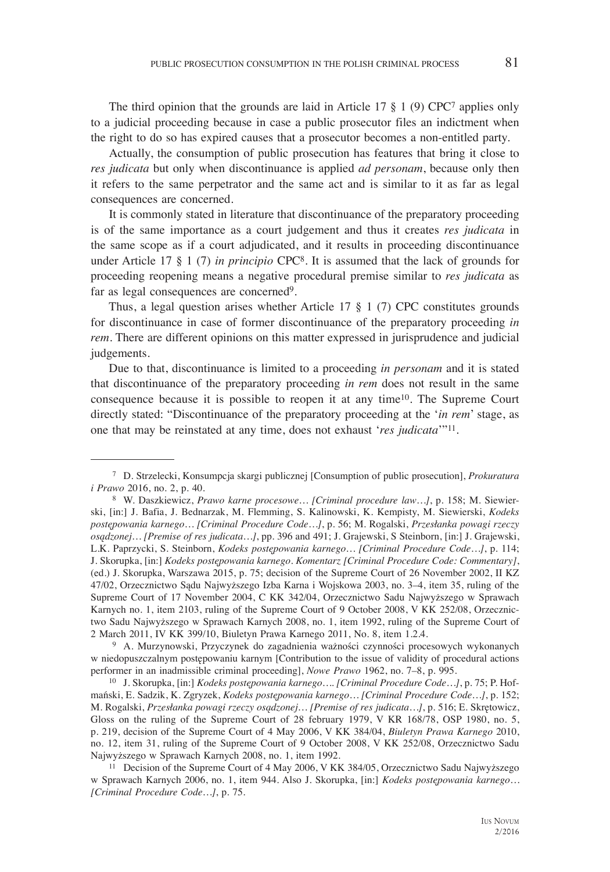The third opinion that the grounds are laid in Article 17  $\S$  1 (9) CPC<sup>7</sup> applies only to a judicial proceeding because in case a public prosecutor files an indictment when the right to do so has expired causes that a prosecutor becomes a non-entitled party.

Actually, the consumption of public prosecution has features that bring it close to *res judicata* but only when discontinuance is applied *ad personam*, because only then it refers to the same perpetrator and the same act and is similar to it as far as legal consequences are concerned.

It is commonly stated in literature that discontinuance of the preparatory proceeding is of the same importance as a court judgement and thus it creates *res judicata* in the same scope as if a court adjudicated, and it results in proceeding discontinuance under Article 17 § 1 (7) *in principio* CPC8. It is assumed that the lack of grounds for proceeding reopening means a negative procedural premise similar to *res judicata* as far as legal consequences are concerned9.

Thus, a legal question arises whether Article 17 § 1 (7) CPC constitutes grounds for discontinuance in case of former discontinuance of the preparatory proceeding *in rem*. There are different opinions on this matter expressed in jurisprudence and judicial judgements.

Due to that, discontinuance is limited to a proceeding *in personam* and it is stated that discontinuance of the preparatory proceeding *in rem* does not result in the same consequence because it is possible to reopen it at any time10. The Supreme Court directly stated: "Discontinuance of the preparatory proceeding at the '*in rem*' stage, as one that may be reinstated at any time, does not exhaust '*res judicata*'"11.

w niedopuszczalnym postępowaniu karnym [Contribution to the issue of validity of procedural actions performer in an inadmissible criminal proceeding], *Nowe Prawo* 1962, no. 7–8, p. 995.

10 J. Skorupka, [in:] *Kodeks postępowania karnego…. [Criminal Procedure Code…]*, p. 75; P. Hofmański, E. Sadzik, K. Zgryzek, *Kodeks postępowania karnego… [Criminal Procedure Code…]*, p. 152; M. Rogalski, *Przesłanka powagi rzeczy osądzonej… [Premise of res judicata…]*, p. 516; E. Skrętowicz, Gloss on the ruling of the Supreme Court of 28 february 1979, V KR 168/78, OSP 1980, no. 5, p. 219, decision of the Supreme Court of 4 May 2006, V KK 384/04, *Biuletyn Prawa Karnego* 2010, no. 12, item 31, ruling of the Supreme Court of 9 October 2008, V KK 252/08, Orzecznictwo Sadu Najwyższego w Sprawach Karnych 2008, no. 1, item 1992.

 <sup>7</sup> D. Strzelecki, Konsumpcja skargi publicznej [Consumption of public prosecution], *Prokuratura i Prawo* 2016, no. 2, p. 40. 8 W. Daszkiewicz, *Prawo karne procesowe… [Criminal procedure law…]*, p. 158; M. Siewier-

ski, [in:] J. Bafia, J. Bednarzak, M. Flemming, S. Kalinowski, K. Kempisty, M. Siewierski, *Kodeks postępowania karnego… [Criminal Procedure Code…]*, p. 56; M. Rogalski, *Przesłanka powagi rzeczy osądzonej… [Premise of res judicata…]*, pp. 396 and 491; J. Grajewski, S Steinborn, [in:] J. Grajewski, L.K. Paprzycki, S. Steinborn, *Kodeks postępowania karnego… [Criminal Procedure Code…]*, p. 114; J. Skorupka, [in:] *Kodeks postępowania karnego. Komentarz [Criminal Procedure Code: Commentary]*, (ed.) J. Skorupka, Warszawa 2015, p. 75; decision of the Supreme Court of 26 November 2002, II KZ 47/02, Orzecznictwo Sądu Najwyższego Izba Karna i Wojskowa 2003, no. 3–4, item 35, ruling of the Supreme Court of 17 November 2004, C KK 342/04, Orzecznictwo Sadu Najwyższego w Sprawach Karnych no. 1, item 2103, ruling of the Supreme Court of 9 October 2008, V KK 252/08, Orzecznictwo Sadu Najwyższego w Sprawach Karnych 2008, no. 1, item 1992, ruling of the Supreme Court of 2 March 2011, IV KK 399/10, Biuletyn Prawa Karnego 2011, No. 8, item 1.2.4. 9 A. Murzynowski, Przyczynek do zagadnienia ważności czynności procesowych wykonanych

<sup>11</sup> Decision of the Supreme Court of 4 May 2006, V KK 384/05, Orzecznictwo Sadu Najwyższego w Sprawach Karnych 2006, no. 1, item 944. Also J. Skorupka, [in:] *Kodeks postępowania karnego… [Criminal Procedure Code…]*, p. 75.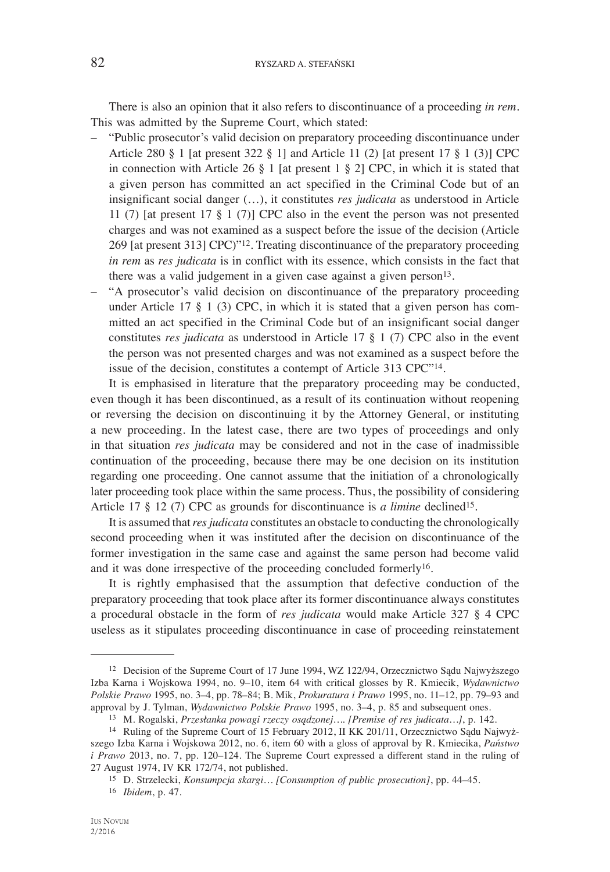There is also an opinion that it also refers to discontinuance of a proceeding *in rem*. This was admitted by the Supreme Court, which stated:

- "Public prosecutor's valid decision on preparatory proceeding discontinuance under Article 280 § 1 [at present 322 § 1] and Article 11 (2) [at present 17 § 1 (3)] CPC in connection with Article 26 § 1 [at present 1 § 2] CPC, in which it is stated that a given person has committed an act specified in the Criminal Code but of an insignificant social danger (…), it constitutes *res judicata* as understood in Article 11 (7) [at present 17 § 1 (7)] CPC also in the event the person was not presented charges and was not examined as a suspect before the issue of the decision (Article 269 [at present 313] CPC)"12. Treating discontinuance of the preparatory proceeding *in rem* as *res judicata* is in conflict with its essence, which consists in the fact that there was a valid judgement in a given case against a given person $13$ .
- "A prosecutor's valid decision on discontinuance of the preparatory proceeding under Article 17 § 1 (3) CPC, in which it is stated that a given person has committed an act specified in the Criminal Code but of an insignificant social danger constitutes *res judicata* as understood in Article 17 § 1 (7) CPC also in the event the person was not presented charges and was not examined as a suspect before the issue of the decision, constitutes a contempt of Article 313 CPC"14.

It is emphasised in literature that the preparatory proceeding may be conducted, even though it has been discontinued, as a result of its continuation without reopening or reversing the decision on discontinuing it by the Attorney General, or instituting a new proceeding. In the latest case, there are two types of proceedings and only in that situation *res judicata* may be considered and not in the case of inadmissible continuation of the proceeding, because there may be one decision on its institution regarding one proceeding. One cannot assume that the initiation of a chronologically later proceeding took place within the same process. Thus, the possibility of considering Article 17 § 12 (7) CPC as grounds for discontinuance is *a limine* declined<sup>15</sup>.

It is assumed that *res judicata* constitutes an obstacle to conducting the chronologically second proceeding when it was instituted after the decision on discontinuance of the former investigation in the same case and against the same person had become valid and it was done irrespective of the proceeding concluded formerly16.

It is rightly emphasised that the assumption that defective conduction of the preparatory proceeding that took place after its former discontinuance always constitutes a procedural obstacle in the form of *res judicata* would make Article 327 § 4 CPC useless as it stipulates proceeding discontinuance in case of proceeding reinstatement

<sup>12</sup> Decision of the Supreme Court of 17 June 1994, WZ 122/94, Orzecznictwo Sądu Najwyższego Izba Karna i Wojskowa 1994, no. 9–10, item 64 with critical glosses by R. Kmiecik, *Wydawnictwo Polskie Prawo* 1995, no. 3–4, pp. 78–84; B. Mik, *Prokuratura i Prawo* 1995, no. 11–12, pp. 79–93 and approval by J. Tylman, *Wydawnictwo Polskie Prawo* 1995, no. 3–4, p. 85 and subsequent ones.

<sup>13</sup> M. Rogalski, *Przesłanka powagi rzeczy osądzonej…. [Premise of res judicata…]*, p. 142.

<sup>14</sup> Ruling of the Supreme Court of 15 February 2012, II KK 201/11, Orzecznictwo Sądu Najwyższego Izba Karna i Wojskowa 2012, no. 6, item 60 with a gloss of approval by R. Kmiecika, *Państwo i Prawo* 2013, no. 7, pp. 120–124. The Supreme Court expressed a different stand in the ruling of 27 August 1974, IV KR 172/74, not published.

<sup>&</sup>lt;sup>15</sup> D. Strzelecki, *Konsumpcja skargi… [Consumption of public prosecution]*, pp. 44–45.

<sup>16</sup> *Ibidem*, p. 47.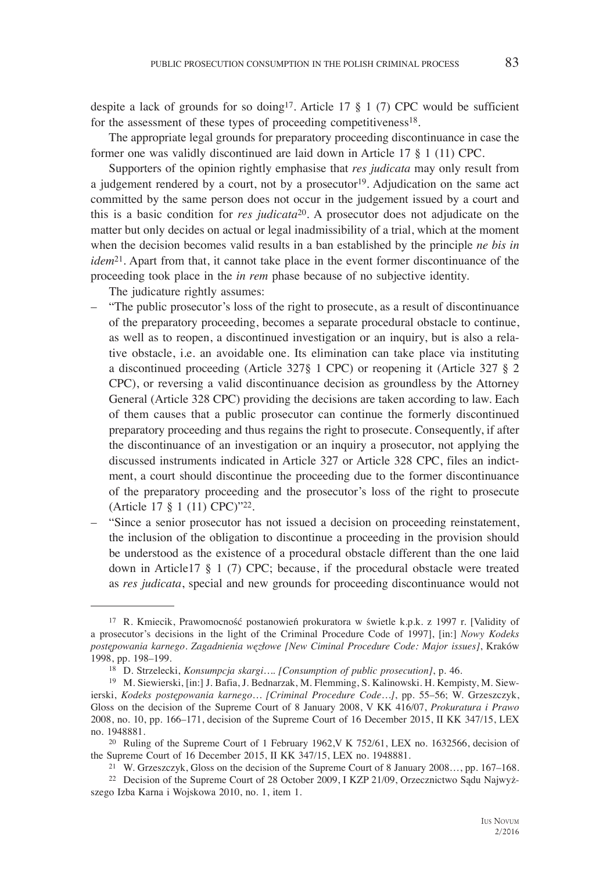despite a lack of grounds for so doing<sup>17</sup>. Article 17  $\frac{8}{1}$  (7) CPC would be sufficient for the assessment of these types of proceeding competitiveness<sup>18</sup>.

The appropriate legal grounds for preparatory proceeding discontinuance in case the former one was validly discontinued are laid down in Article 17 § 1 (11) CPC.

Supporters of the opinion rightly emphasise that *res judicata* may only result from a judgement rendered by a court, not by a prosecutor<sup>19</sup>. Adjudication on the same act committed by the same person does not occur in the judgement issued by a court and this is a basic condition for *res judicata*20. A prosecutor does not adjudicate on the matter but only decides on actual or legal inadmissibility of a trial, which at the moment when the decision becomes valid results in a ban established by the principle *ne bis in idem*<sup>21</sup>. Apart from that, it cannot take place in the event former discontinuance of the proceeding took place in the *in rem* phase because of no subjective identity.

The judicature rightly assumes:

- "The public prosecutor's loss of the right to prosecute, as a result of discontinuance of the preparatory proceeding, becomes a separate procedural obstacle to continue, as well as to reopen, a discontinued investigation or an inquiry, but is also a relative obstacle, i.e. an avoidable one. Its elimination can take place via instituting a discontinued proceeding (Article 327§ 1 CPC) or reopening it (Article 327 § 2 CPC), or reversing a valid discontinuance decision as groundless by the Attorney General (Article 328 CPC) providing the decisions are taken according to law. Each of them causes that a public prosecutor can continue the formerly discontinued preparatory proceeding and thus regains the right to prosecute. Consequently, if after the discontinuance of an investigation or an inquiry a prosecutor, not applying the discussed instruments indicated in Article 327 or Article 328 CPC, files an indictment, a court should discontinue the proceeding due to the former discontinuance of the preparatory proceeding and the prosecutor's loss of the right to prosecute (Article 17 § 1 (11) CPC)"22.
- "Since a senior prosecutor has not issued a decision on proceeding reinstatement, the inclusion of the obligation to discontinue a proceeding in the provision should be understood as the existence of a procedural obstacle different than the one laid down in Article17 § 1 (7) CPC; because, if the procedural obstacle were treated as *res judicata*, special and new grounds for proceeding discontinuance would not

<sup>17</sup> R. Kmiecik, Prawomocność postanowień prokuratora w świetle k.p.k. z 1997 r. [Validity of a prosecutor's decisions in the light of the Criminal Procedure Code of 1997], [in:] *Nowy Kodeks postępowania karnego. Zagadnienia węzłowe [New Ciminal Procedure Code: Major issues]*, Kraków 1998, pp. 198–199.

<sup>18</sup> D. Strzelecki, *Konsumpcja skargi…. [Consumption of public prosecution]*, p. 46.

<sup>19</sup> M. Siewierski, [in:] J. Bafia, J. Bednarzak, M. Flemming, S. Kalinowski. H. Kempisty, M. Siewierski, *Kodeks postępowania karnego… [Criminal Procedure Code…]*, pp. 55–56; W. Grzeszczyk, Gloss on the decision of the Supreme Court of 8 January 2008, V KK 416/07, *Prokuratura i Prawo* 2008, no. 10, pp. 166–171, decision of the Supreme Court of 16 December 2015, II KK 347/15, LEX no. 1948881.

<sup>20</sup> Ruling of the Supreme Court of 1 February 1962,V K 752/61, LEX no. 1632566, decision of the Supreme Court of 16 December 2015, II KK 347/15, LEX no. 1948881.

<sup>21</sup> W. Grzeszczyk, Gloss on the decision of the Supreme Court of 8 January 2008…, pp. 167–168.

<sup>22</sup> Decision of the Supreme Court of 28 October 2009, I KZP 21/09, Orzecznictwo Sądu Najwyższego Izba Karna i Wojskowa 2010, no. 1, item 1.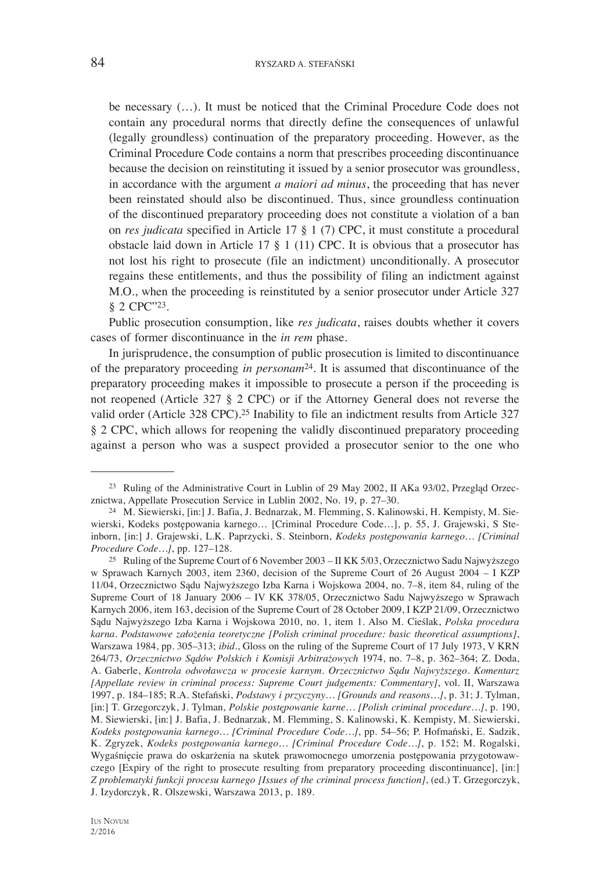be necessary (…). It must be noticed that the Criminal Procedure Code does not contain any procedural norms that directly define the consequences of unlawful (legally groundless) continuation of the preparatory proceeding. However, as the Criminal Procedure Code contains a norm that prescribes proceeding discontinuance because the decision on reinstituting it issued by a senior prosecutor was groundless, in accordance with the argument *a maiori ad minus*, the proceeding that has never been reinstated should also be discontinued. Thus, since groundless continuation of the discontinued preparatory proceeding does not constitute a violation of a ban on *res judicata* specified in Article 17 § 1 (7) CPC, it must constitute a procedural obstacle laid down in Article 17 § 1 (11) CPC. It is obvious that a prosecutor has not lost his right to prosecute (file an indictment) unconditionally. A prosecutor regains these entitlements, and thus the possibility of filing an indictment against M.O., when the proceeding is reinstituted by a senior prosecutor under Article 327 § 2 CPC"23.

Public prosecution consumption, like *res judicata*, raises doubts whether it covers cases of former discontinuance in the *in rem* phase.

In jurisprudence, the consumption of public prosecution is limited to discontinuance of the preparatory proceeding *in personam*24. It is assumed that discontinuance of the preparatory proceeding makes it impossible to prosecute a person if the proceeding is not reopened (Article 327 § 2 CPC) or if the Attorney General does not reverse the valid order (Article 328 CPC).25 Inability to file an indictment results from Article 327 § 2 CPC, which allows for reopening the validly discontinued preparatory proceeding against a person who was a suspect provided a prosecutor senior to the one who

<sup>23</sup> Ruling of the Administrative Court in Lublin of 29 May 2002, II AKa 93/02, Przegląd Orzecznictwa, Appellate Prosecution Service in Lublin 2002, No. 19, p. 27–30.

<sup>24</sup> M. Siewierski, [in:] J. Bafia, J. Bednarzak, M. Flemming, S. Kalinowski, H. Kempisty, M. Siewierski, Kodeks postępowania karnego… [Criminal Procedure Code…], p. 55, J. Grajewski, S Steinborn, [in:] J. Grajewski, L.K. Paprzycki, S. Steinborn, *Kodeks postępowania karnego… [Criminal Procedure Code…]*, pp. 127–128.

<sup>25</sup> Ruling of the Supreme Court of 6 November 2003 – II KK 5/03, Orzecznictwo Sadu Najwyższego w Sprawach Karnych 2003, item 2360, decision of the Supreme Court of 26 August 2004 – I KZP 11/04, Orzecznictwo Sądu Najwyższego Izba Karna i Wojskowa 2004, no. 7–8, item 84, ruling of the Supreme Court of 18 January 2006 – IV KK 378/05, Orzecznictwo Sadu Najwyższego w Sprawach Karnych 2006, item 163, decision of the Supreme Court of 28 October 2009, I KZP 21/09, Orzecznictwo Sądu Najwyższego Izba Karna i Wojskowa 2010, no. 1, item 1. Also M. Cieślak, *Polska procedura karna. Podstawowe założenia teoretyczne [Polish criminal procedure: basic theoretical assumptions]*, Warszawa 1984, pp. 305–313; *ibid*., Gloss on the ruling of the Supreme Court of 17 July 1973, V KRN 264/73, *Orzecznictwo Sądów Polskich i Komisji Arbitrażowych* 1974, no. 7–8, p. 362–364; Z. Doda, A. Gaberle, *Kontrola odwoławcza w procesie karnym. Orzecznictwo Sądu Najwyższego. Komentarz [Appellate review in criminal process: Supreme Court judgements: Commentary]*, vol. II, Warszawa 1997, p. 184–185; R.A. Stefański, *Podstawy i przyczyny… [Grounds and reasons…]*, p. 31; J. Tylman, [in:] T. Grzegorczyk, J. Tylman, *Polskie postępowanie karne… [Polish criminal procedure…]*, p. 190, M. Siewierski, [in:] J. Bafia, J. Bednarzak, M. Flemming, S. Kalinowski, K. Kempisty, M. Siewierski, *Kodeks postępowania karnego… [Criminal Procedure Code…]*, pp. 54–56; P. Hofmański, E. Sadzik, K. Zgryzek, *Kodeks postępowania karnego… [Criminal Procedure Code…]*, p. 152; M. Rogalski, Wygaśnięcie prawa do oskarżenia na skutek prawomocnego umorzenia postępowania przygotowawczego [Expiry of the right to prosecute resulting from preparatory proceeding discontinuance], [in:] *Z problematyki funkcji procesu karnego [Issues of the criminal process function]*, (ed.) T. Grzegorczyk, J. Izydorczyk, R. Olszewski, Warszawa 2013, p. 189.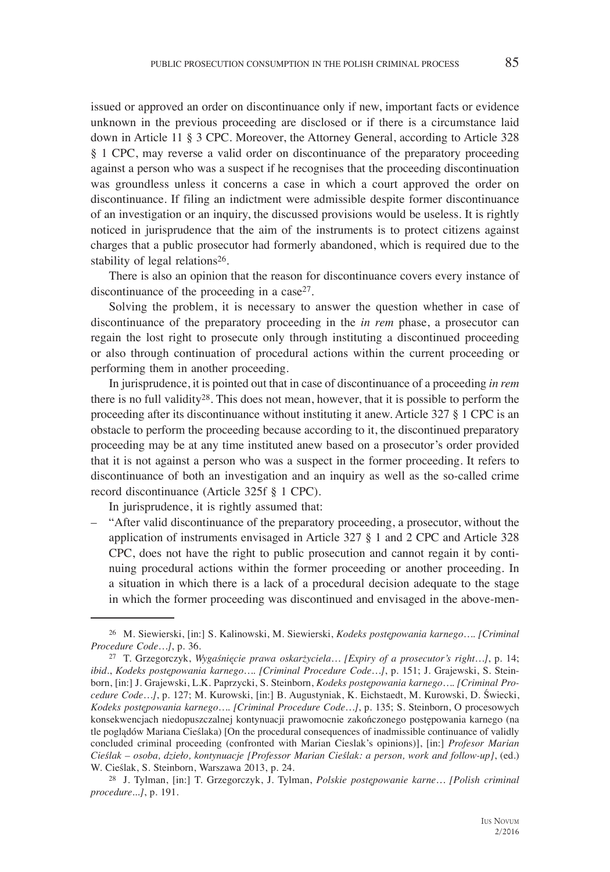issued or approved an order on discontinuance only if new, important facts or evidence unknown in the previous proceeding are disclosed or if there is a circumstance laid down in Article 11 § 3 CPC. Moreover, the Attorney General, according to Article 328 § 1 CPC, may reverse a valid order on discontinuance of the preparatory proceeding against a person who was a suspect if he recognises that the proceeding discontinuation was groundless unless it concerns a case in which a court approved the order on discontinuance. If filing an indictment were admissible despite former discontinuance of an investigation or an inquiry, the discussed provisions would be useless. It is rightly noticed in jurisprudence that the aim of the instruments is to protect citizens against charges that a public prosecutor had formerly abandoned, which is required due to the stability of legal relations26.

There is also an opinion that the reason for discontinuance covers every instance of discontinuance of the proceeding in a case<sup>27</sup>.

Solving the problem, it is necessary to answer the question whether in case of discontinuance of the preparatory proceeding in the *in rem* phase, a prosecutor can regain the lost right to prosecute only through instituting a discontinued proceeding or also through continuation of procedural actions within the current proceeding or performing them in another proceeding.

In jurisprudence, it is pointed out that in case of discontinuance of a proceeding *in rem* there is no full validity28. This does not mean, however, that it is possible to perform the proceeding after its discontinuance without instituting it anew. Article 327 § 1 CPC is an obstacle to perform the proceeding because according to it, the discontinued preparatory proceeding may be at any time instituted anew based on a prosecutor's order provided that it is not against a person who was a suspect in the former proceeding. It refers to discontinuance of both an investigation and an inquiry as well as the so-called crime record discontinuance (Article 325f § 1 CPC).

In jurisprudence, it is rightly assumed that:

– "After valid discontinuance of the preparatory proceeding, a prosecutor, without the application of instruments envisaged in Article 327 § 1 and 2 CPC and Article 328 CPC, does not have the right to public prosecution and cannot regain it by continuing procedural actions within the former proceeding or another proceeding. In a situation in which there is a lack of a procedural decision adequate to the stage in which the former proceeding was discontinued and envisaged in the above-men-

<sup>26</sup> M. Siewierski, [in:] S. Kalinowski, M. Siewierski, *Kodeks postępowania karnego…. [Criminal Procedure Code…]*, p. 36.

<sup>27</sup> T. Grzegorczyk, *Wygaśnięcie prawa oskarżyciela… [Expiry of a prosecutor's right…]*, p. 14; *ibid*., *Kodeks postępowania karnego…. [Criminal Procedure Code…]*, p. 151; J. Grajewski, S. Steinborn, [in:] J. Grajewski, L.K. Paprzycki, S. Steinborn, *Kodeks postępowania karnego…. [Criminal Procedure Code…]*, p. 127; M. Kurowski, [in:] B. Augustyniak, K. Eichstaedt, M. Kurowski, D. Świecki, *Kodeks postępowania karnego…. [Criminal Procedure Code…]*, p. 135; S. Steinborn, O procesowych konsekwencjach niedopuszczalnej kontynuacji prawomocnie zakończonego postępowania karnego (na tle poglądów Mariana Cieślaka) [On the procedural consequences of inadmissible continuance of validly concluded criminal proceeding (confronted with Marian Cieslak's opinions)], [in:] *Profesor Marian Cieślak – osoba, dzieło, kontynuacje [Professor Marian Cieślak: a person, work and follow-up]*, (ed.) W. Cieślak, S. Steinborn, Warszawa 2013, p. 24.

<sup>28</sup> J. Tylman, [in:] T. Grzegorczyk, J. Tylman, *Polskie postępowanie karne… [Polish criminal procedure...]*, p. 191.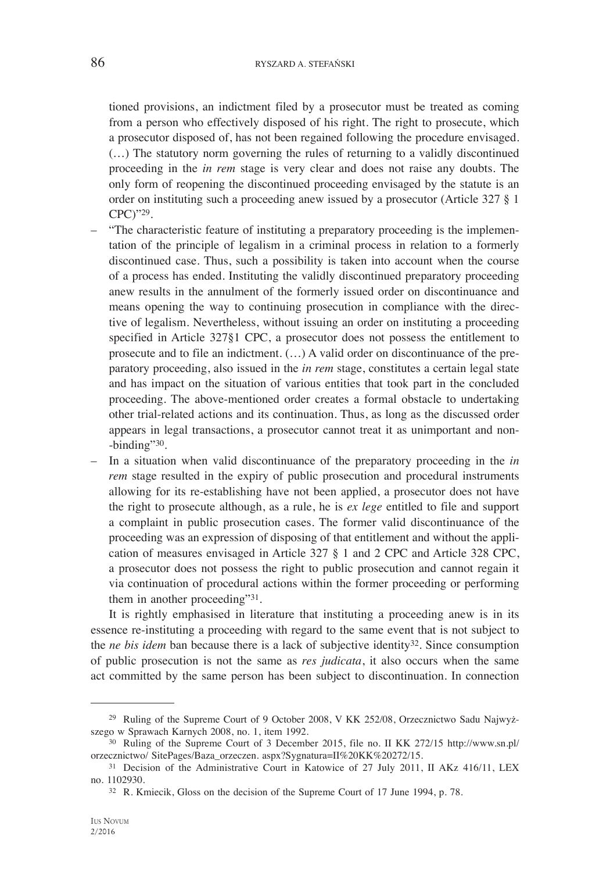tioned provisions, an indictment filed by a prosecutor must be treated as coming from a person who effectively disposed of his right. The right to prosecute, which a prosecutor disposed of, has not been regained following the procedure envisaged. (…) The statutory norm governing the rules of returning to a validly discontinued proceeding in the *in rem* stage is very clear and does not raise any doubts. The only form of reopening the discontinued proceeding envisaged by the statute is an order on instituting such a proceeding anew issued by a prosecutor (Article 327 § 1 CPC)"29.

- "The characteristic feature of instituting a preparatory proceeding is the implementation of the principle of legalism in a criminal process in relation to a formerly discontinued case. Thus, such a possibility is taken into account when the course of a process has ended. Instituting the validly discontinued preparatory proceeding anew results in the annulment of the formerly issued order on discontinuance and means opening the way to continuing prosecution in compliance with the directive of legalism. Nevertheless, without issuing an order on instituting a proceeding specified in Article 327§1 CPC, a prosecutor does not possess the entitlement to prosecute and to file an indictment. (…) A valid order on discontinuance of the preparatory proceeding, also issued in the *in rem* stage, constitutes a certain legal state and has impact on the situation of various entities that took part in the concluded proceeding. The above-mentioned order creates a formal obstacle to undertaking other trial-related actions and its continuation. Thus, as long as the discussed order appears in legal transactions, a prosecutor cannot treat it as unimportant and non- -binding"30.
- In a situation when valid discontinuance of the preparatory proceeding in the *in rem* stage resulted in the expiry of public prosecution and procedural instruments allowing for its re-establishing have not been applied, a prosecutor does not have the right to prosecute although, as a rule, he is *ex lege* entitled to file and support a complaint in public prosecution cases. The former valid discontinuance of the proceeding was an expression of disposing of that entitlement and without the application of measures envisaged in Article 327 § 1 and 2 CPC and Article 328 CPC, a prosecutor does not possess the right to public prosecution and cannot regain it via continuation of procedural actions within the former proceeding or performing them in another proceeding"31.

It is rightly emphasised in literature that instituting a proceeding anew is in its essence re-instituting a proceeding with regard to the same event that is not subject to the *ne bis idem* ban because there is a lack of subjective identity32. Since consumption of public prosecution is not the same as *res judicata*, it also occurs when the same act committed by the same person has been subject to discontinuation. In connection

<sup>29</sup> Ruling of the Supreme Court of 9 October 2008, V KK 252/08, Orzecznictwo Sadu Najwyższego w Sprawach Karnych 2008, no. 1, item 1992.

<sup>30</sup> Ruling of the Supreme Court of 3 December 2015, file no. II KK 272/15 http://www.sn.pl/ orzecznictwo/ SitePages/Baza\_orzeczen. aspx?Sygnatura=II%20KK%20272/15.

<sup>&</sup>lt;sup>31</sup> Decision of the Administrative Court in Katowice of 27 July 2011, II AKz 416/11, LEX no. 1102930.

<sup>32</sup> R. Kmiecik, Gloss on the decision of the Supreme Court of 17 June 1994, p. 78.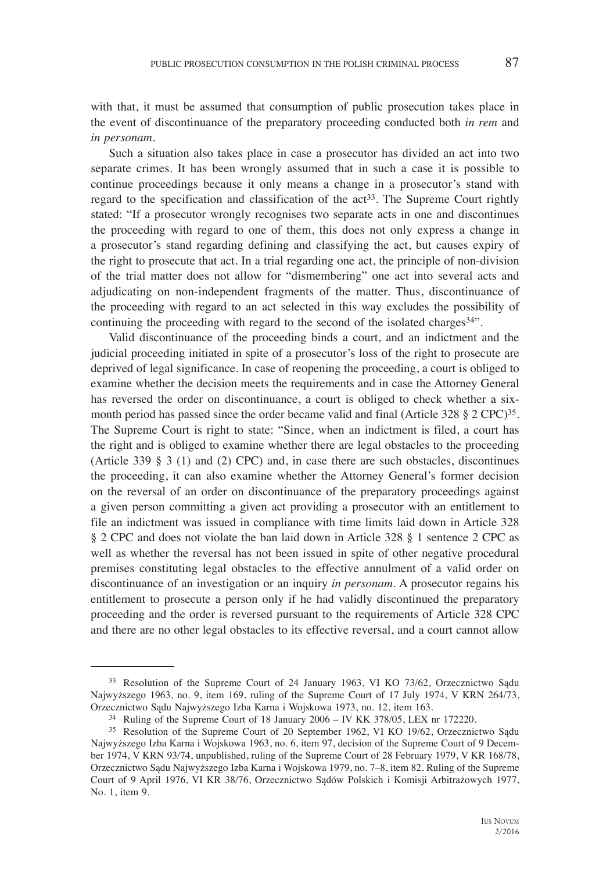with that, it must be assumed that consumption of public prosecution takes place in the event of discontinuance of the preparatory proceeding conducted both *in rem* and *in personam*.

Such a situation also takes place in case a prosecutor has divided an act into two separate crimes. It has been wrongly assumed that in such a case it is possible to continue proceedings because it only means a change in a prosecutor's stand with regard to the specification and classification of the  $act^{33}$ . The Supreme Court rightly stated: "If a prosecutor wrongly recognises two separate acts in one and discontinues the proceeding with regard to one of them, this does not only express a change in a prosecutor's stand regarding defining and classifying the act, but causes expiry of the right to prosecute that act. In a trial regarding one act, the principle of non-division of the trial matter does not allow for "dismembering" one act into several acts and adjudicating on non-independent fragments of the matter. Thus, discontinuance of the proceeding with regard to an act selected in this way excludes the possibility of continuing the proceeding with regard to the second of the isolated charges<sup>34"</sup>.

Valid discontinuance of the proceeding binds a court, and an indictment and the judicial proceeding initiated in spite of a prosecutor's loss of the right to prosecute are deprived of legal significance. In case of reopening the proceeding, a court is obliged to examine whether the decision meets the requirements and in case the Attorney General has reversed the order on discontinuance, a court is obliged to check whether a sixmonth period has passed since the order became valid and final (Article 328  $\S 2$  CPC)<sup>35</sup>. The Supreme Court is right to state: "Since, when an indictment is filed, a court has the right and is obliged to examine whether there are legal obstacles to the proceeding (Article 339 § 3 (1) and (2) CPC) and, in case there are such obstacles, discontinues the proceeding, it can also examine whether the Attorney General's former decision on the reversal of an order on discontinuance of the preparatory proceedings against a given person committing a given act providing a prosecutor with an entitlement to file an indictment was issued in compliance with time limits laid down in Article 328 § 2 CPC and does not violate the ban laid down in Article 328 § 1 sentence 2 CPC as well as whether the reversal has not been issued in spite of other negative procedural premises constituting legal obstacles to the effective annulment of a valid order on discontinuance of an investigation or an inquiry *in personam*. A prosecutor regains his entitlement to prosecute a person only if he had validly discontinued the preparatory proceeding and the order is reversed pursuant to the requirements of Article 328 CPC and there are no other legal obstacles to its effective reversal, and a court cannot allow

<sup>33</sup> Resolution of the Supreme Court of 24 January 1963, VI KO 73/62, Orzecznictwo Sądu Najwyższego 1963, no. 9, item 169, ruling of the Supreme Court of 17 July 1974, V KRN 264/73, Orzecznictwo Sądu Najwyższego Izba Karna i Wojskowa 1973, no. 12, item 163.

 $34$  Ruling of the Supreme Court of 18 January 2006 – IV KK 378/05, LEX nr 172220.

<sup>35</sup> Resolution of the Supreme Court of 20 September 1962, VI KO 19/62, Orzecznictwo Sądu Najwyższego Izba Karna i Wojskowa 1963, no. 6, item 97, decision of the Supreme Court of 9 December 1974, V KRN 93/74, unpublished, ruling of the Supreme Court of 28 February 1979, V KR 168/78, Orzecznictwo Sądu Najwyższego Izba Karna i Wojskowa 1979, no. 7–8, item 82. Ruling of the Supreme Court of 9 April 1976, VI KR 38/76, Orzecznictwo Sądów Polskich i Komisji Arbitrażowych 1977, No. 1, item 9.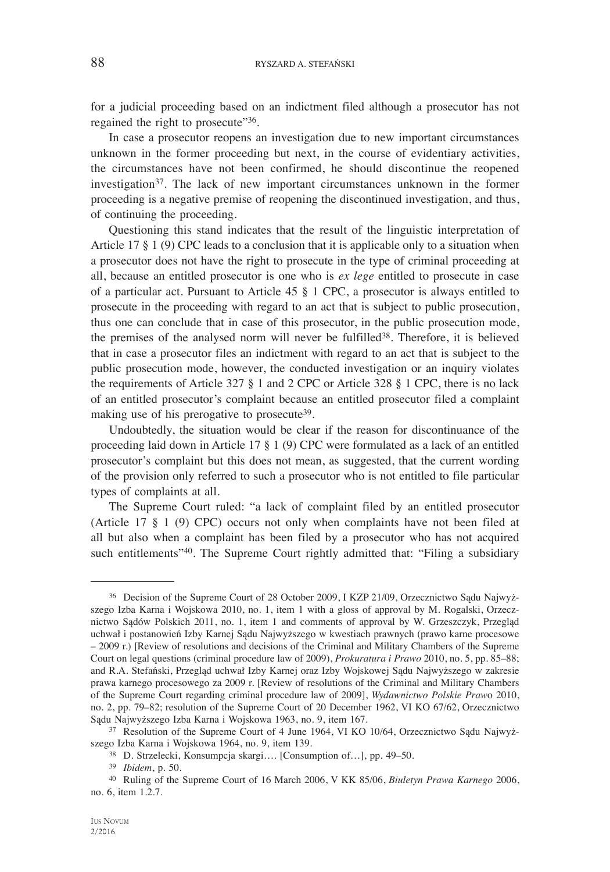for a judicial proceeding based on an indictment filed although a prosecutor has not regained the right to prosecute"<sup>36</sup>.

In case a prosecutor reopens an investigation due to new important circumstances unknown in the former proceeding but next, in the course of evidentiary activities, the circumstances have not been confirmed, he should discontinue the reopened investigation37. The lack of new important circumstances unknown in the former proceeding is a negative premise of reopening the discontinued investigation, and thus, of continuing the proceeding.

Questioning this stand indicates that the result of the linguistic interpretation of Article 17 § 1 (9) CPC leads to a conclusion that it is applicable only to a situation when a prosecutor does not have the right to prosecute in the type of criminal proceeding at all, because an entitled prosecutor is one who is *ex lege* entitled to prosecute in case of a particular act. Pursuant to Article 45 § 1 CPC, a prosecutor is always entitled to prosecute in the proceeding with regard to an act that is subject to public prosecution, thus one can conclude that in case of this prosecutor, in the public prosecution mode, the premises of the analysed norm will never be fulfilled38. Therefore, it is believed that in case a prosecutor files an indictment with regard to an act that is subject to the public prosecution mode, however, the conducted investigation or an inquiry violates the requirements of Article 327 § 1 and 2 CPC or Article 328 § 1 CPC, there is no lack of an entitled prosecutor's complaint because an entitled prosecutor filed a complaint making use of his prerogative to prosecute<sup>39</sup>.

Undoubtedly, the situation would be clear if the reason for discontinuance of the proceeding laid down in Article 17 § 1 (9) CPC were formulated as a lack of an entitled prosecutor's complaint but this does not mean, as suggested, that the current wording of the provision only referred to such a prosecutor who is not entitled to file particular types of complaints at all.

The Supreme Court ruled: "a lack of complaint filed by an entitled prosecutor (Article 17 § 1 (9) CPC) occurs not only when complaints have not been filed at all but also when a complaint has been filed by a prosecutor who has not acquired such entitlements<sup>"40</sup>. The Supreme Court rightly admitted that: "Filing a subsidiary

<sup>36</sup> Decision of the Supreme Court of 28 October 2009, I KZP 21/09, Orzecznictwo Sądu Najwyższego Izba Karna i Wojskowa 2010, no. 1, item 1 with a gloss of approval by M. Rogalski, Orzecznictwo Sądów Polskich 2011, no. 1, item 1 and comments of approval by W. Grzeszczyk, Przegląd uchwał i postanowień Izby Karnej Sądu Najwyższego w kwestiach prawnych (prawo karne procesowe – 2009 r.) [Review of resolutions and decisions of the Criminal and Military Chambers of the Supreme Court on legal questions (criminal procedure law of 2009), *Prokuratura i Prawo* 2010, no. 5, pp. 85–88; and R.A. Stefański, Przegląd uchwał Izby Karnej oraz Izby Wojskowej Sądu Najwyższego w zakresie prawa karnego procesowego za 2009 r. [Review of resolutions of the Criminal and Military Chambers of the Supreme Court regarding criminal procedure law of 2009], *Wydawnictwo Polskie Praw*o 2010, no. 2, pp. 79–82; resolution of the Supreme Court of 20 December 1962, VI KO 67/62, Orzecznictwo Sądu Najwyższego Izba Karna i Wojskowa 1963, no. 9, item 167.

<sup>37</sup> Resolution of the Supreme Court of 4 June 1964, VI KO 10/64, Orzecznictwo Sądu Najwyższego Izba Karna i Wojskowa 1964, no. 9, item 139.

<sup>38</sup> D. Strzelecki, Konsumpcja skargi…. [Consumption of…], pp. 49–50.

<sup>39</sup> *Ibidem*, p. 50.

<sup>40</sup> Ruling of the Supreme Court of 16 March 2006, V KK 85/06, *Biuletyn Prawa Karnego* 2006, no. 6, item 1.2.7.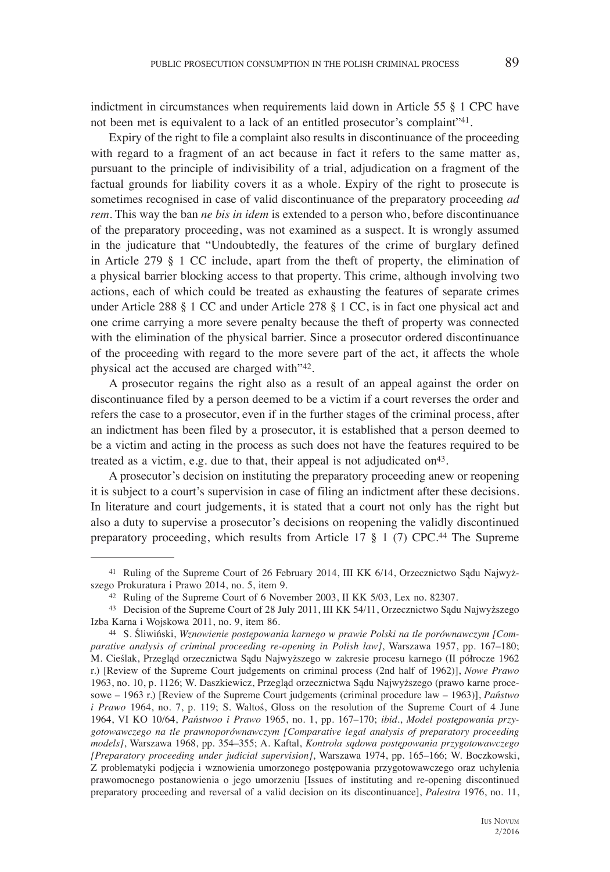indictment in circumstances when requirements laid down in Article 55 § 1 CPC have not been met is equivalent to a lack of an entitled prosecutor's complaint"<sup>41</sup>.

Expiry of the right to file a complaint also results in discontinuance of the proceeding with regard to a fragment of an act because in fact it refers to the same matter as, pursuant to the principle of indivisibility of a trial, adjudication on a fragment of the factual grounds for liability covers it as a whole. Expiry of the right to prosecute is sometimes recognised in case of valid discontinuance of the preparatory proceeding *ad rem*. This way the ban *ne bis in idem* is extended to a person who, before discontinuance of the preparatory proceeding, was not examined as a suspect. It is wrongly assumed in the judicature that "Undoubtedly, the features of the crime of burglary defined in Article 279 § 1 CC include, apart from the theft of property, the elimination of a physical barrier blocking access to that property. This crime, although involving two actions, each of which could be treated as exhausting the features of separate crimes under Article 288 § 1 CC and under Article 278 § 1 CC, is in fact one physical act and one crime carrying a more severe penalty because the theft of property was connected with the elimination of the physical barrier. Since a prosecutor ordered discontinuance of the proceeding with regard to the more severe part of the act, it affects the whole physical act the accused are charged with"42.

A prosecutor regains the right also as a result of an appeal against the order on discontinuance filed by a person deemed to be a victim if a court reverses the order and refers the case to a prosecutor, even if in the further stages of the criminal process, after an indictment has been filed by a prosecutor, it is established that a person deemed to be a victim and acting in the process as such does not have the features required to be treated as a victim, e.g. due to that, their appeal is not adjudicated on<sup>43</sup>.

A prosecutor's decision on instituting the preparatory proceeding anew or reopening it is subject to a court's supervision in case of filing an indictment after these decisions. In literature and court judgements, it is stated that a court not only has the right but also a duty to supervise a prosecutor's decisions on reopening the validly discontinued preparatory proceeding, which results from Article 17 § 1 (7) CPC.44 The Supreme

<sup>41</sup> Ruling of the Supreme Court of 26 February 2014, III KK 6/14, Orzecznictwo Sądu Najwyższego Prokuratura i Prawo 2014, no. 5, item 9.

<sup>42</sup> Ruling of the Supreme Court of 6 November 2003, II KK 5/03, Lex no. 82307.

<sup>43</sup> Decision of the Supreme Court of 28 July 2011, III KK 54/11, Orzecznictwo Sądu Najwyższego Izba Karna i Wojskowa 2011, no. 9, item 86. 44 S. Śliwiński, *Wznowienie postępowania karnego w prawie Polski na tle porównawczym [Com-*

*parative analysis of criminal proceeding re-opening in Polish law]*, Warszawa 1957, pp. 167–180; M. Cieślak, Przegląd orzecznictwa Sądu Najwyższego w zakresie procesu karnego (II półrocze 1962 r.) [Review of the Supreme Court judgements on criminal process (2nd half of 1962)], *Nowe Prawo* 1963, no. 10, p. 1126; W. Daszkiewicz, Przegląd orzecznictwa Sądu Najwyższego (prawo karne procesowe – 1963 r.) [Review of the Supreme Court judgements (criminal procedure law – 1963)], *Państwo i Prawo* 1964, no. 7, p. 119; S. Waltoś, Gloss on the resolution of the Supreme Court of 4 June 1964, VI KO 10/64, *Państwoo i Prawo* 1965, no. 1, pp. 167–170; *ibid*., *Model postępowania przygotowawczego na tle prawnoporównawczym [Comparative legal analysis of preparatory proceeding models]*, Warszawa 1968, pp. 354–355; A. Kaftal, *Kontrola sądowa postępowania przygotowawczego [Preparatory proceeding under judicial supervision]*, Warszawa 1974, pp. 165–166; W. Boczkowski, Z problematyki podjęcia i wznowienia umorzonego postępowania przygotowawczego oraz uchylenia prawomocnego postanowienia o jego umorzeniu [Issues of instituting and re-opening discontinued preparatory proceeding and reversal of a valid decision on its discontinuance], *Palestra* 1976, no. 11,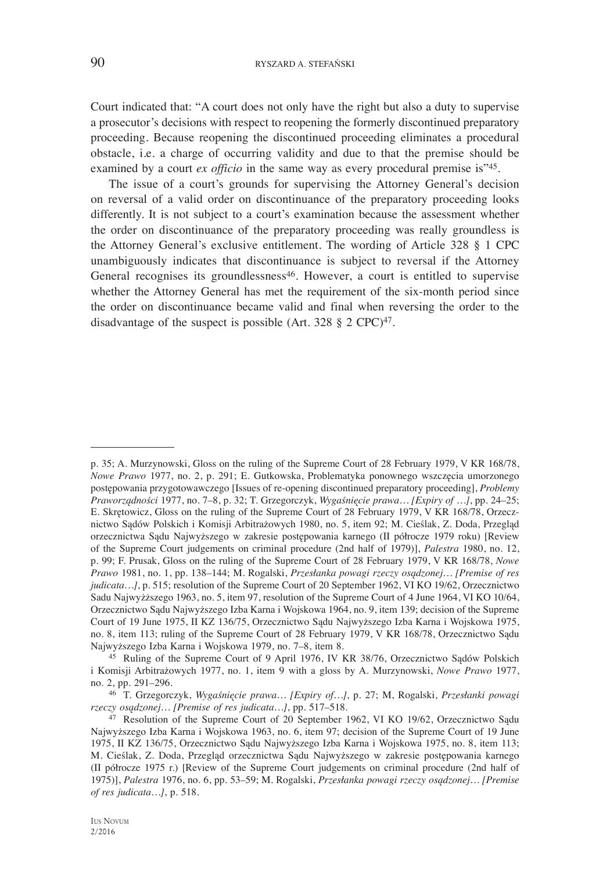Court indicated that: "A court does not only have the right but also a duty to supervise a prosecutor's decisions with respect to reopening the formerly discontinued preparatory proceeding. Because reopening the discontinued proceeding eliminates a procedural obstacle, i.e. a charge of occurring validity and due to that the premise should be examined by a court *ex officio* in the same way as every procedural premise is<sup>"45</sup>.

The issue of a court's grounds for supervising the Attorney General's decision on reversal of a valid order on discontinuance of the preparatory proceeding looks differently. It is not subject to a court's examination because the assessment whether the order on discontinuance of the preparatory proceeding was really groundless is the Attorney General's exclusive entitlement. The wording of Article 328 § 1 CPC unambiguously indicates that discontinuance is subject to reversal if the Attorney General recognises its groundlessness<sup>46</sup>. However, a court is entitled to supervise whether the Attorney General has met the requirement of the six-month period since the order on discontinuance became valid and final when reversing the order to the disadvantage of the suspect is possible (Art. 328  $\S$  2 CPC)<sup>47</sup>.

p. 35; A. Murzynowski, Gloss on the ruling of the Supreme Court of 28 February 1979, V KR 168/78, *Nowe Prawo* 1977, no. 2, p. 291; E. Gutkowska, Problematyka ponownego wszczęcia umorzonego postępowania przygotowawczego [Issues of re-opening discontinued preparatory proceeding], *Problemy Praworządności* 1977, no. 7–8, p. 32; T. Grzegorczyk, *Wygaśnięcie prawa… [Expiry of …]*, pp. 24–25; E. Skrętowicz, Gloss on the ruling of the Supreme Court of 28 February 1979, V KR 168/78, Orzecznictwo Sądów Polskich i Komisji Arbitrażowych 1980, no. 5, item 92; M. Cieślak, Z. Doda, Przegląd orzecznictwa Sądu Najwyższego w zakresie postępowania karnego (II półrocze 1979 roku) [Review of the Supreme Court judgements on criminal procedure (2nd half of 1979)], *Palestra* 1980, no. 12, p. 99; F. Prusak, Gloss on the ruling of the Supreme Court of 28 February 1979, V KR 168/78, *Nowe Prawo* 1981, no. 1, pp. 138–144; M. Rogalski, *Przesłanka powagi rzeczy osądzonej… [Premise of res judicata…]*, p. 515; resolution of the Supreme Court of 20 September 1962, VI KO 19/62, Orzecznictwo Sadu Najwyżższego 1963, no. 5, item 97, resolution of the Supreme Court of 4 June 1964, VI KO 10/64, Orzecznictwo Sądu Najwyższego Izba Karna i Wojskowa 1964, no. 9, item 139; decision of the Supreme Court of 19 June 1975, II KZ 136/75, Orzecznictwo Sądu Najwyższego Izba Karna i Wojskowa 1975, no. 8, item 113; ruling of the Supreme Court of 28 February 1979, V KR 168/78, Orzecznictwo Sądu

<sup>&</sup>lt;sup>45</sup> Ruling of the Supreme Court of 9 April 1976, IV KR 38/76, Orzecznictwo Sądów Polskich i Komisji Arbitrażowych 1977, no. 1, item 9 with a gloss by A. Murzynowski, *Nowe Prawo* 1977, no. 2, pp. 291–296.

<sup>46</sup> T. Grzegorczyk, *Wygaśnięcie prawa… [Expiry of…]*, p. 27; M, Rogalski, *Przesłanki powagi* 

<sup>&</sup>lt;sup>47</sup> Resolution of the Supreme Court of 20 September 1962, VI KO 19/62, Orzecznictwo Sądu Najwyższego Izba Karna i Wojskowa 1963, no. 6, item 97; decision of the Supreme Court of 19 June 1975, II KZ 136/75, Orzecznictwo Sądu Najwyższego Izba Karna i Wojskowa 1975, no. 8, item 113; M. Cieślak, Z. Doda, Przegląd orzecznictwa Sądu Najwyższego w zakresie postępowania karnego (II półrocze 1975 r.) [Review of the Supreme Court judgements on criminal procedure (2nd half of 1975)], *Palestra* 1976, no. 6, pp. 53–59; M. Rogalski, *Przesłanka powagi rzeczy osądzonej… [Premise of res judicata…]*, p. 518.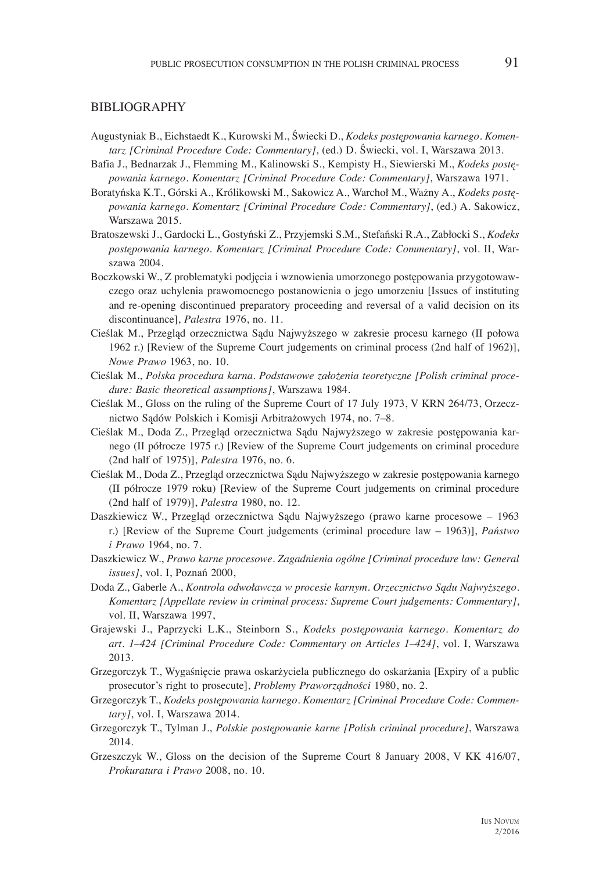#### BIBLIOGRAPHY

- Augustyniak B., Eichstaedt K., Kurowski M., Świecki D., *Kodeks postępowania karnego. Komentarz [Criminal Procedure Code: Commentary]*, (ed.) D. Świecki, vol. I, Warszawa 2013.
- Bafia J., Bednarzak J., Flemming M., Kalinowski S., Kempisty H., Siewierski M., *Kodeks postępowania karnego. Komentarz [Criminal Procedure Code: Commentary]*, Warszawa 1971.
- Boratyńska K.T., Górski A., Królikowski M., Sakowicz A., Warchoł M., Ważny A., *Kodeks postępowania karnego. Komentarz [Criminal Procedure Code: Commentary]*, (ed.) A. Sakowicz, Warszawa 2015.
- Bratoszewski J., Gardocki L., Gostyński Z., Przyjemski S.M., Stefański R.A., Zabłocki S., *Kodeks postępowania karnego. Komentarz [Criminal Procedure Code: Commentary]*, vol. II, Warszawa 2004.
- Boczkowski W., Z problematyki podjęcia i wznowienia umorzonego postępowania przygotowawczego oraz uchylenia prawomocnego postanowienia o jego umorzeniu [Issues of instituting and re-opening discontinued preparatory proceeding and reversal of a valid decision on its discontinuance], *Palestra* 1976, no. 11.
- Cieślak M., Przegląd orzecznictwa Sądu Najwyższego w zakresie procesu karnego (II połowa 1962 r.) [Review of the Supreme Court judgements on criminal process (2nd half of 1962)], *Nowe Prawo* 1963, no. 10.
- Cieślak M., *Polska procedura karna. Podstawowe założenia teoretyczne [Polish criminal procedure: Basic theoretical assumptions]*, Warszawa 1984.
- Cieślak M., Gloss on the ruling of the Supreme Court of 17 July 1973, V KRN 264/73, Orzecznictwo Sądów Polskich i Komisji Arbitrażowych 1974, no. 7–8.
- Cieślak M., Doda Z., Przegląd orzecznictwa Sądu Najwyższego w zakresie postępowania karnego (II półrocze 1975 r.) [Review of the Supreme Court judgements on criminal procedure (2nd half of 1975)], *Palestra* 1976, no. 6.
- Cieślak M., Doda Z., Przegląd orzecznictwa Sądu Najwyższego w zakresie postępowania karnego (II półrocze 1979 roku) [Review of the Supreme Court judgements on criminal procedure (2nd half of 1979)], *Palestra* 1980, no. 12.
- Daszkiewicz W., Przegląd orzecznictwa Sądu Najwyższego (prawo karne procesowe 1963 r.) [Review of the Supreme Court judgements (criminal procedure law – 1963)], *Państwo i Prawo* 1964, no. 7.
- Daszkiewicz W., *Prawo karne procesowe. Zagadnienia ogólne [Criminal procedure law: General issues]*, vol. I, Poznań 2000,
- Doda Z., Gaberle A., *Kontrola odwoławcza w procesie karnym. Orzecznictwo Sądu Najwyższego. Komentarz [Appellate review in criminal process: Supreme Court judgements: Commentary]*, vol. II, Warszawa 1997,
- Grajewski J., Paprzycki L.K., Steinborn S., *Kodeks postępowania karnego. Komentarz do art. 1–424 [Criminal Procedure Code: Commentary on Articles 1–424]*, vol. I, Warszawa 2013.
- Grzegorczyk T., Wygaśnięcie prawa oskarżyciela publicznego do oskarżania [Expiry of a public prosecutor's right to prosecute], *Problemy Praworządności* 1980, no. 2.
- Grzegorczyk T., *Kodeks postępowania karnego. Komentarz [Criminal Procedure Code: Commentary]*, vol. I, Warszawa 2014.
- Grzegorczyk T., Tylman J., *Polskie postępowanie karne [Polish criminal procedure]*, Warszawa 2014.
- Grzeszczyk W., Gloss on the decision of the Supreme Court 8 January 2008, V KK 416/07, *Prokuratura i Prawo* 2008, no. 10.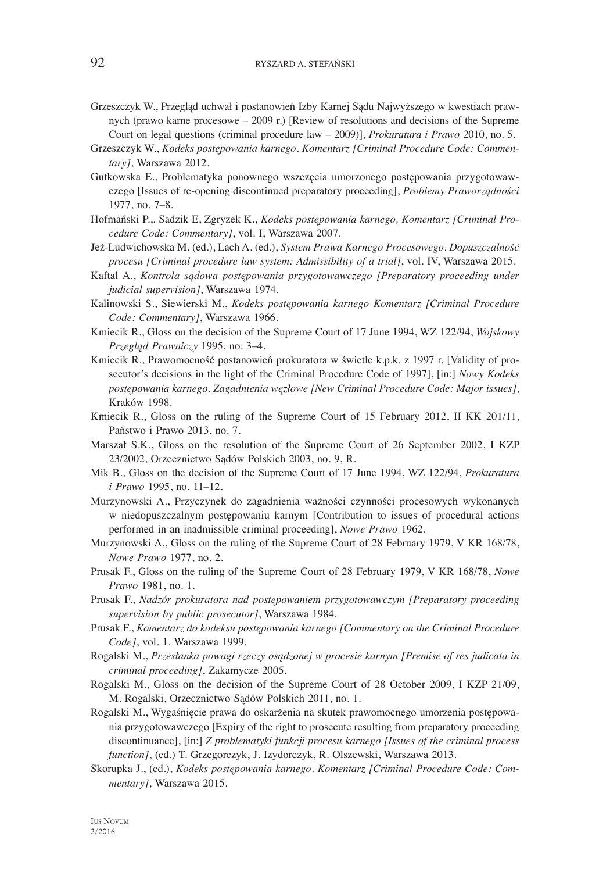- Grzeszczyk W., Przegląd uchwał i postanowień Izby Karnej Sądu Najwyższego w kwestiach prawnych (prawo karne procesowe – 2009 r.) [Review of resolutions and decisions of the Supreme Court on legal questions (criminal procedure law – 2009)], *Prokuratura i Prawo* 2010, no. 5.
- Grzeszczyk W., *Kodeks postępowania karnego. Komentarz [Criminal Procedure Code: Commentary]*, Warszawa 2012.
- Gutkowska E., Problematyka ponownego wszczęcia umorzonego postępowania przygotowawczego [Issues of re-opening discontinued preparatory proceeding], *Problemy Praworządności* 1977, no. 7–8.
- Hofmański P.,. Sadzik E, Zgryzek K., *Kodeks postępowania karnego, Komentarz [Criminal Procedure Code: Commentary]*, vol. I, Warszawa 2007.
- Jeż-Ludwichowska M. (ed.), Lach A. (ed.), *System Prawa Karnego Procesowego. Dopuszczalność procesu [Criminal procedure law system: Admissibility of a trial]*, vol. IV, Warszawa 2015.
- Kaftal A., *Kontrola sądowa postępowania przygotowawczego [Preparatory proceeding under judicial supervision]*, Warszawa 1974.
- Kalinowski S., Siewierski M., *Kodeks postępowania karnego Komentarz [Criminal Procedure Code: Commentary]*, Warszawa 1966.
- Kmiecik R., Gloss on the decision of the Supreme Court of 17 June 1994, WZ 122/94, *Wojskowy Przegląd Prawniczy* 1995, no. 3–4.
- Kmiecik R., Prawomocność postanowień prokuratora w świetle k.p.k. z 1997 r. [Validity of prosecutor's decisions in the light of the Criminal Procedure Code of 1997], [in:] *Nowy Kodeks postępowania karnego. Zagadnienia węzłowe [New Criminal Procedure Code: Major issues]*, Kraków 1998.
- Kmiecik R., Gloss on the ruling of the Supreme Court of 15 February 2012, II KK 201/11, Państwo i Prawo 2013, no. 7.
- Marszał S.K., Gloss on the resolution of the Supreme Court of 26 September 2002, I KZP 23/2002, Orzecznictwo Sądów Polskich 2003, no. 9, R.
- Mik B., Gloss on the decision of the Supreme Court of 17 June 1994, WZ 122/94, *Prokuratura i Prawo* 1995, no. 11–12.
- Murzynowski A., Przyczynek do zagadnienia ważności czynności procesowych wykonanych w niedopuszczalnym postępowaniu karnym [Contribution to issues of procedural actions performed in an inadmissible criminal proceeding], *Nowe Prawo* 1962.
- Murzynowski A., Gloss on the ruling of the Supreme Court of 28 February 1979, V KR 168/78, *Nowe Prawo* 1977, no. 2.
- Prusak F., Gloss on the ruling of the Supreme Court of 28 February 1979, V KR 168/78, *Nowe Prawo* 1981, no. 1.
- Prusak F., *Nadzór prokuratora nad postępowaniem przygotowawczym [Preparatory proceeding supervision by public prosecutor]*, Warszawa 1984.
- Prusak F., *Komentarz do kodeksu postępowania karnego [Commentary on the Criminal Procedure Code]*, vol. 1. Warszawa 1999.
- Rogalski M., *Przesłanka powagi rzeczy osądzonej w procesie karnym [Premise of res judicata in criminal proceeding]*, Zakamycze 2005.
- Rogalski M., Gloss on the decision of the Supreme Court of 28 October 2009, I KZP 21/09, M. Rogalski, Orzecznictwo Sądów Polskich 2011, no. 1.
- Rogalski M., Wygaśnięcie prawa do oskarżenia na skutek prawomocnego umorzenia postępowania przygotowawczego [Expiry of the right to prosecute resulting from preparatory proceeding discontinuance], [in:] *Z problematyki funkcji procesu karnego [Issues of the criminal process function]*, (ed.) T. Grzegorczyk, J. Izydorczyk, R. Olszewski, Warszawa 2013.
- Skorupka J., (ed.), *Kodeks postępowania karnego. Komentarz [Criminal Procedure Code: Commentary]*, Warszawa 2015.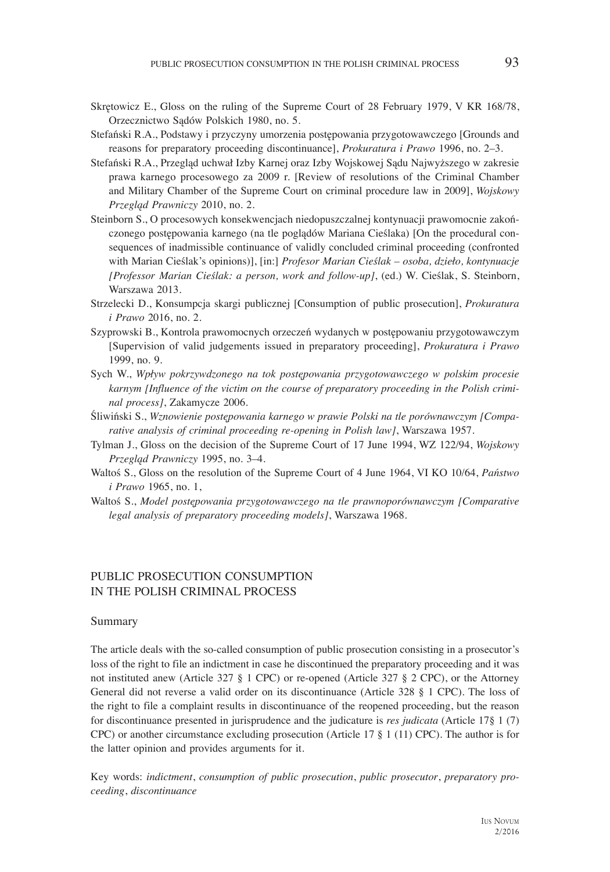- Skrętowicz E., Gloss on the ruling of the Supreme Court of 28 February 1979, V KR 168/78, Orzecznictwo Sądów Polskich 1980, no. 5.
- Stefański R.A., Podstawy i przyczyny umorzenia postępowania przygotowawczego [Grounds and reasons for preparatory proceeding discontinuance], *Prokuratura i Prawo* 1996, no. 2–3.
- Stefański R.A., Przegląd uchwał Izby Karnej oraz Izby Wojskowej Sądu Najwyższego w zakresie prawa karnego procesowego za 2009 r. [Review of resolutions of the Criminal Chamber and Military Chamber of the Supreme Court on criminal procedure law in 2009], *Wojskowy Przegląd Prawniczy* 2010, no. 2.
- Steinborn S., O procesowych konsekwencjach niedopuszczalnej kontynuacji prawomocnie zakończonego postępowania karnego (na tle poglądów Mariana Cieślaka) [On the procedural consequences of inadmissible continuance of validly concluded criminal proceeding (confronted with Marian Cieślak's opinions)], [in:] *Profesor Marian Cieślak – osoba, dzieło, kontynuacje [Professor Marian Cieślak: a person, work and follow-up]*, (ed.) W. Cieślak, S. Steinborn, Warszawa 2013.
- Strzelecki D., Konsumpcja skargi publicznej [Consumption of public prosecution], *Prokuratura i Prawo* 2016, no. 2.
- Szyprowski B., Kontrola prawomocnych orzeczeń wydanych w postępowaniu przygotowawczym [Supervision of valid judgements issued in preparatory proceeding], *Prokuratura i Prawo* 1999, no. 9.
- Sych W., *Wpływ pokrzywdzonego na tok postępowania przygotowawczego w polskim procesie karnym [Influence of the victim on the course of preparatory proceeding in the Polish criminal process]*, Zakamycze 2006.
- Śliwiński S., *Wznowienie postępowania karnego w prawie Polski na tle porównawczym [Comparative analysis of criminal proceeding re-opening in Polish law]*, Warszawa 1957.
- Tylman J., Gloss on the decision of the Supreme Court of 17 June 1994, WZ 122/94, *Wojskowy Przegląd Prawniczy* 1995, no. 3–4.
- Waltoś S., Gloss on the resolution of the Supreme Court of 4 June 1964, VI KO 10/64, *Państwo i Prawo* 1965, no. 1,
- Waltoś S., *Model postępowania przygotowawczego na tle prawnoporównawczym [Comparative legal analysis of preparatory proceeding models]*, Warszawa 1968.

#### PUBLIC PROSECUTION CONSUMPTION IN THE POLISH CRIMINAL PROCESS

#### Summary

The article deals with the so-called consumption of public prosecution consisting in a prosecutor's loss of the right to file an indictment in case he discontinued the preparatory proceeding and it was not instituted anew (Article 327 § 1 CPC) or re-opened (Article 327 § 2 CPC), or the Attorney General did not reverse a valid order on its discontinuance (Article 328 § 1 CPC). The loss of the right to file a complaint results in discontinuance of the reopened proceeding, but the reason for discontinuance presented in jurisprudence and the judicature is *res judicata* (Article 17§ 1 (7) CPC) or another circumstance excluding prosecution (Article 17 § 1 (11) CPC). The author is for the latter opinion and provides arguments for it.

Key words: *indictment*, *consumption of public prosecution*, *public prosecutor*, *preparatory proceeding*, *discontinuance*